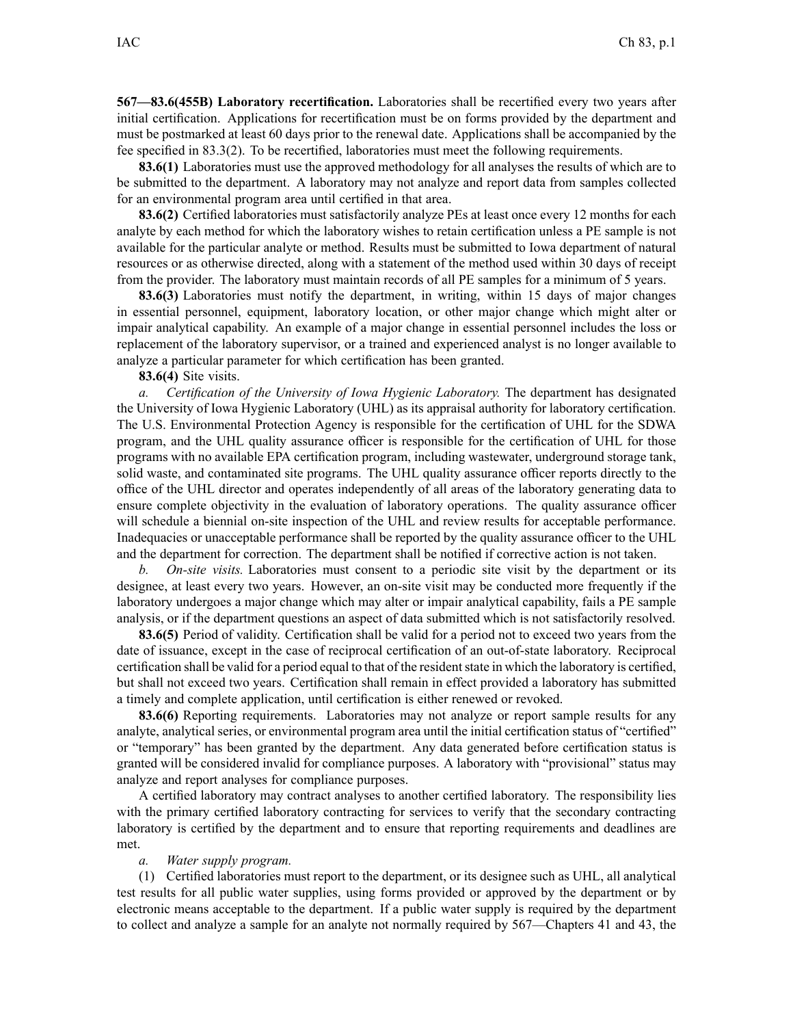**567—83.6(455B) Laboratory recertification.** Laboratories shall be recertified every two years after initial certification. Applications for recertification must be on forms provided by the department and must be postmarked at least 60 days prior to the renewal date. Applications shall be accompanied by the fee specified in 83.3(2). To be recertified, laboratories must meet the following requirements.

**83.6(1)** Laboratories must use the approved methodology for all analyses the results of which are to be submitted to the department. A laboratory may not analyze and repor<sup>t</sup> data from samples collected for an environmental program area until certified in that area.

**83.6(2)** Certified laboratories must satisfactorily analyze PEs at least once every 12 months for each analyte by each method for which the laboratory wishes to retain certification unless <sup>a</sup> PE sample is not available for the particular analyte or method. Results must be submitted to Iowa department of natural resources or as otherwise directed, along with <sup>a</sup> statement of the method used within 30 days of receipt from the provider. The laboratory must maintain records of all PE samples for <sup>a</sup> minimum of 5 years.

**83.6(3)** Laboratories must notify the department, in writing, within 15 days of major changes in essential personnel, equipment, laboratory location, or other major change which might alter or impair analytical capability. An example of <sup>a</sup> major change in essential personnel includes the loss or replacement of the laboratory supervisor, or <sup>a</sup> trained and experienced analyst is no longer available to analyze <sup>a</sup> particular parameter for which certification has been granted.

**83.6(4)** Site visits.

*a. Certification of the University of Iowa Hygienic Laboratory.* The department has designated the University of Iowa Hygienic Laboratory (UHL) as its appraisal authority for laboratory certification. The U.S. Environmental Protection Agency is responsible for the certification of UHL for the SDWA program, and the UHL quality assurance officer is responsible for the certification of UHL for those programs with no available EPA certification program, including wastewater, underground storage tank, solid waste, and contaminated site programs. The UHL quality assurance officer reports directly to the office of the UHL director and operates independently of all areas of the laboratory generating data to ensure complete objectivity in the evaluation of laboratory operations. The quality assurance officer will schedule <sup>a</sup> biennial on-site inspection of the UHL and review results for acceptable performance. Inadequacies or unacceptable performance shall be reported by the quality assurance officer to the UHL and the department for correction. The department shall be notified if corrective action is not taken.

*b. On-site visits.* Laboratories must consent to <sup>a</sup> periodic site visit by the department or its designee, at least every two years. However, an on-site visit may be conducted more frequently if the laboratory undergoes <sup>a</sup> major change which may alter or impair analytical capability, fails <sup>a</sup> PE sample analysis, or if the department questions an aspec<sup>t</sup> of data submitted which is not satisfactorily resolved.

**83.6(5)** Period of validity. Certification shall be valid for <sup>a</sup> period not to exceed two years from the date of issuance, excep<sup>t</sup> in the case of reciprocal certification of an out-of-state laboratory. Reciprocal certification shall be valid for a period equal to that of the resident state in which the laboratory is certified, but shall not exceed two years. Certification shall remain in effect provided <sup>a</sup> laboratory has submitted <sup>a</sup> timely and complete application, until certification is either renewed or revoked.

**83.6(6)** Reporting requirements. Laboratories may not analyze or repor<sup>t</sup> sample results for any analyte, analytical series, or environmental program area until the initial certification status of "certified" or "temporary" has been granted by the department. Any data generated before certification status is granted will be considered invalid for compliance purposes. A laboratory with "provisional" status may analyze and repor<sup>t</sup> analyses for compliance purposes.

A certified laboratory may contract analyses to another certified laboratory. The responsibility lies with the primary certified laboratory contracting for services to verify that the secondary contracting laboratory is certified by the department and to ensure that reporting requirements and deadlines are met.

## *a. Water supply program.*

(1) Certified laboratories must repor<sup>t</sup> to the department, or its designee such as UHL, all analytical test results for all public water supplies, using forms provided or approved by the department or by electronic means acceptable to the department. If <sup>a</sup> public water supply is required by the department to collect and analyze <sup>a</sup> sample for an analyte not normally required by 567—Chapters 41 and 43, the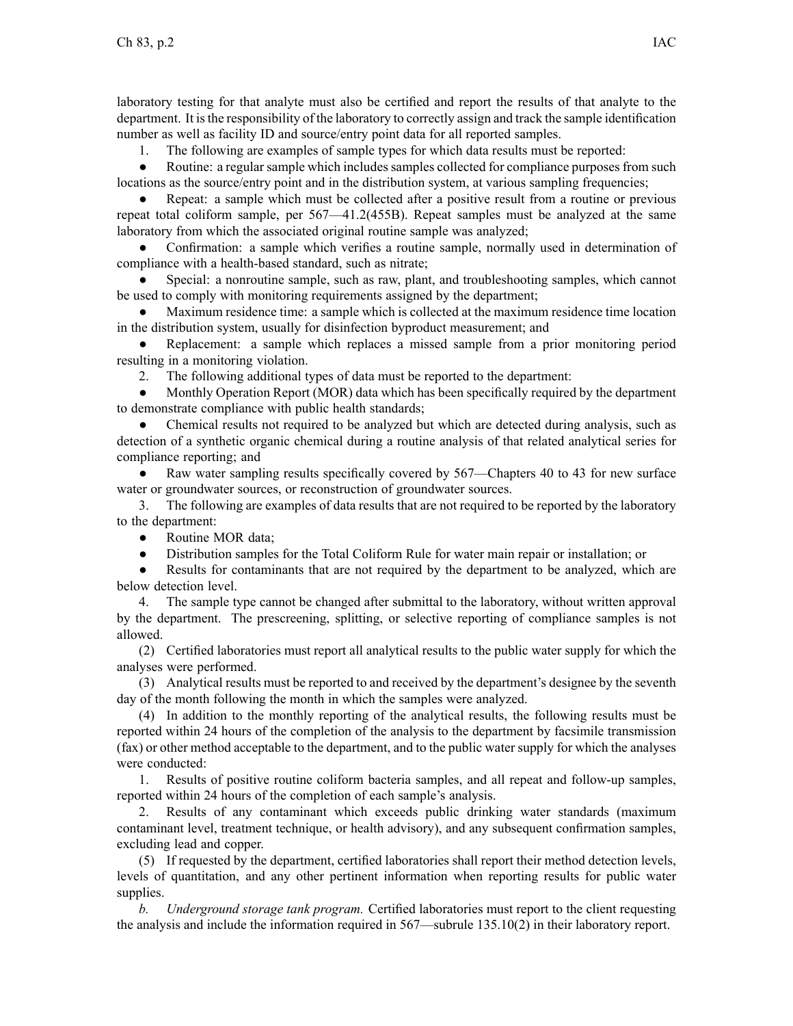laboratory testing for that analyte must also be certified and repor<sup>t</sup> the results of that analyte to the department. It isthe responsibility of the laboratory to correctly assign and track the sample identification number as well as facility ID and source/entry point data for all reported samples.

1. The following are examples of sample types for which data results must be reported:

 $\bullet$ Routine: a regular sample which includes samples collected for compliance purposes from such locations as the source/entry point and in the distribution system, at various sampling frequencies;

● Repeat: <sup>a</sup> sample which must be collected after <sup>a</sup> positive result from <sup>a</sup> routine or previous repea<sup>t</sup> total coliform sample, per 567—41.2(455B). Repeat samples must be analyzed at the same laboratory from which the associated original routine sample was analyzed;

● Confirmation: <sup>a</sup> sample which verifies <sup>a</sup> routine sample, normally used in determination of compliance with <sup>a</sup> health-based standard, such as nitrate;

● Special: <sup>a</sup> nonroutine sample, such as raw, plant, and troubleshooting samples, which cannot be used to comply with monitoring requirements assigned by the department;

● Maximum residence time: <sup>a</sup> sample which is collected at the maximum residence time location in the distribution system, usually for disinfection byproduct measurement; and

● Replacement: <sup>a</sup> sample which replaces <sup>a</sup> missed sample from <sup>a</sup> prior monitoring period resulting in <sup>a</sup> monitoring violation.

2. The following additional types of data must be reported to the department:

 $\bullet$  Monthly Operation Report (MOR) data which has been specifically required by the department to demonstrate compliance with public health standards;

● Chemical results not required to be analyzed but which are detected during analysis, such as detection of <sup>a</sup> synthetic organic chemical during <sup>a</sup> routine analysis of that related analytical series for compliance reporting; and

 $\bullet$  Raw water sampling results specifically covered by 567—Chapters 40 to 43 for new surface water or groundwater sources, or reconstruction of groundwater sources.

3. The following are examples of data results that are not required to be reported by the laboratory to the department:

 $\bullet$ Routine MOR data;

●Distribution samples for the Total Coliform Rule for water main repair or installation; or

● Results for contaminants that are not required by the department to be analyzed, which are below detection level.

4. The sample type cannot be changed after submittal to the laboratory, without written approval by the department. The prescreening, splitting, or selective reporting of compliance samples is not allowed.

(2) Certified laboratories must repor<sup>t</sup> all analytical results to the public water supply for which the analyses were performed.

(3) Analytical results must be reported to and received by the department's designee by the seventh day of the month following the month in which the samples were analyzed.

(4) In addition to the monthly reporting of the analytical results, the following results must be reported within 24 hours of the completion of the analysis to the department by facsimile transmission (fax) or other method acceptable to the department, and to the public water supply for which the analyses were conducted:

1. Results of positive routine coliform bacteria samples, and all repea<sup>t</sup> and follow-up samples, reported within 24 hours of the completion of each sample's analysis.

2. Results of any contaminant which exceeds public drinking water standards (maximum contaminant level, treatment technique, or health advisory), and any subsequent confirmation samples, excluding lead and copper.

(5) If requested by the department, certified laboratories shall repor<sup>t</sup> their method detection levels, levels of quantitation, and any other pertinent information when reporting results for public water supplies.

*b. Underground storage tank program.* Certified laboratories must repor<sup>t</sup> to the client requesting the analysis and include the information required in 567—subrule 135.10(2) in their laboratory report.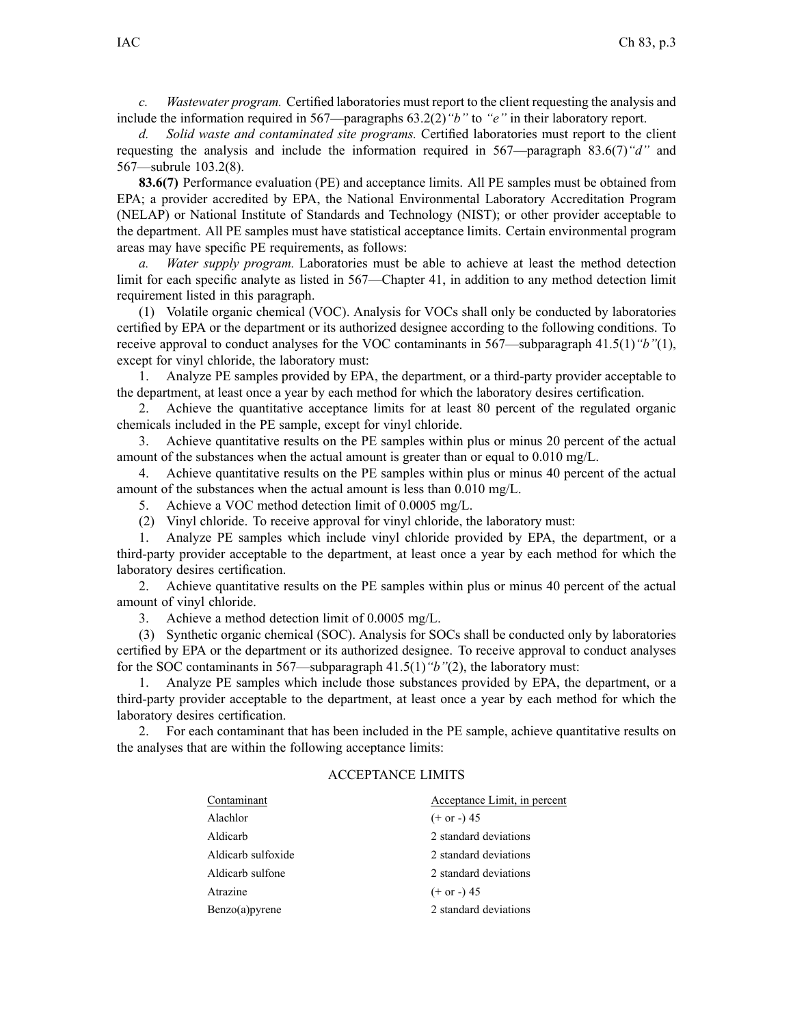*c. Wastewater program.* Certified laboratories must repor<sup>t</sup> to the client requesting the analysis and include the information required in 567—paragraphs 63.2(2)*"b"* to *"e"* in their laboratory report.

*d. Solid waste and contaminated site programs.* Certified laboratories must repor<sup>t</sup> to the client requesting the analysis and include the information required in 567—paragraph 83.6(7)*"d"* and 567—subrule 103.2(8).

**83.6(7)** Performance evaluation (PE) and acceptance limits. All PE samples must be obtained from EPA; <sup>a</sup> provider accredited by EPA, the National Environmental Laboratory Accreditation Program (NELAP) or National Institute of Standards and Technology (NIST); or other provider acceptable to the department. All PE samples must have statistical acceptance limits. Certain environmental program areas may have specific PE requirements, as follows:

*a. Water supply program.* Laboratories must be able to achieve at least the method detection limit for each specific analyte as listed in 567—Chapter 41, in addition to any method detection limit requirement listed in this paragraph.

(1) Volatile organic chemical (VOC). Analysis for VOCs shall only be conducted by laboratories certified by EPA or the department or its authorized designee according to the following conditions. To receive approval to conduct analyses for the VOC contaminants in 567—subparagraph 41.5(1)*"b"*(1), excep<sup>t</sup> for vinyl chloride, the laboratory must:

1. Analyze PE samples provided by EPA, the department, or <sup>a</sup> third-party provider acceptable to the department, at least once <sup>a</sup> year by each method for which the laboratory desires certification.

2. Achieve the quantitative acceptance limits for at least 80 percen<sup>t</sup> of the regulated organic chemicals included in the PE sample, excep<sup>t</sup> for vinyl chloride.

3. Achieve quantitative results on the PE samples within plus or minus 20 percen<sup>t</sup> of the actual amount of the substances when the actual amount is greater than or equal to 0.010 mg/L.

4. Achieve quantitative results on the PE samples within plus or minus 40 percen<sup>t</sup> of the actual amount of the substances when the actual amount is less than 0.010 mg/L.

5. Achieve <sup>a</sup> VOC method detection limit of 0.0005 mg/L.

(2) Vinyl chloride. To receive approval for vinyl chloride, the laboratory must:

1. Analyze PE samples which include vinyl chloride provided by EPA, the department, or <sup>a</sup> third-party provider acceptable to the department, at least once <sup>a</sup> year by each method for which the laboratory desires certification.

2. Achieve quantitative results on the PE samples within plus or minus 40 percen<sup>t</sup> of the actual amount of vinyl chloride.

3. Achieve <sup>a</sup> method detection limit of 0.0005 mg/L.

(3) Synthetic organic chemical (SOC). Analysis for SOCs shall be conducted only by laboratories certified by EPA or the department or its authorized designee. To receive approval to conduct analyses for the SOC contaminants in 567—subparagraph 41.5(1)*"b"*(2), the laboratory must:

1. Analyze PE samples which include those substances provided by EPA, the department, or <sup>a</sup> third-party provider acceptable to the department, at least once <sup>a</sup> year by each method for which the laboratory desires certification.

2. For each contaminant that has been included in the PE sample, achieve quantitative results on the analyses that are within the following acceptance limits:

## ACCEPTANCE LIMITS

| Contaminant        | Acceptance Limit, in percent |
|--------------------|------------------------------|
| Alachlor           | $(+ or -) 45$                |
| Aldicarb           | 2 standard deviations        |
| Aldicarb sulfoxide | 2 standard deviations        |
| Aldicarb sulfone   | 2 standard deviations        |
| Atrazine           | $(+ or -) 45$                |
| Benzo(a)pyrene     | 2 standard deviations        |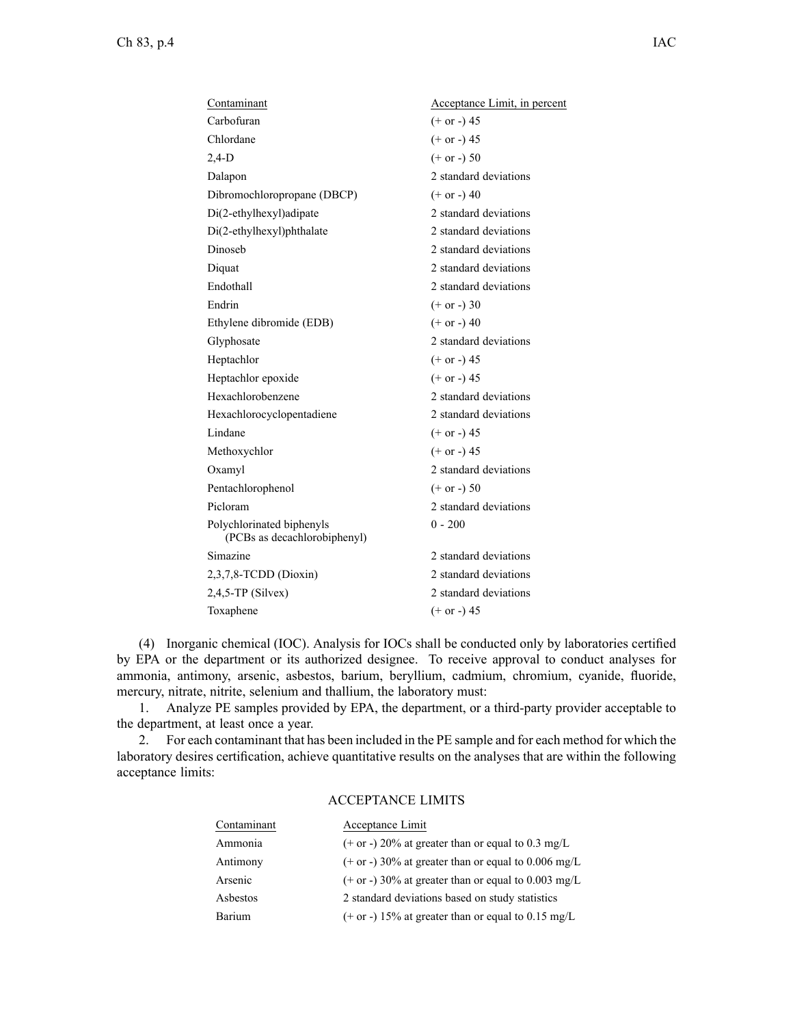| Acceptance Limit, in percent |
|------------------------------|
| $(+ or -) 45$                |
| $(+ or -) 45$                |
| $(+ or -) 50$                |
| 2 standard deviations        |
| $(+ or -) 40$                |
| 2 standard deviations        |
| 2 standard deviations        |
| 2 standard deviations        |
| 2 standard deviations        |
| 2 standard deviations        |
| $(+ or -) 30$                |
| $(+ or -) 40$                |
| 2 standard deviations        |
| $(+ or -) 45$                |
| $(+ or -) 45$                |
| 2 standard deviations        |
| 2 standard deviations        |
| $(+ or -) 45$                |
| $(+ or -) 45$                |
| 2 standard deviations        |
| $(+ or -) 50$                |
| 2 standard deviations        |
| $0 - 200$                    |
| 2 standard deviations        |
| 2 standard deviations        |
| 2 standard deviations        |
| $(+ or -) 45$                |
|                              |

(4) Inorganic chemical (IOC). Analysis for IOCs shall be conducted only by laboratories certified by EPA or the department or its authorized designee. To receive approval to conduct analyses for ammonia, antimony, arsenic, asbestos, barium, beryllium, cadmium, chromium, cyanide, fluoride, mercury, nitrate, nitrite, selenium and thallium, the laboratory must:

1. Analyze PE samples provided by EPA, the department, or <sup>a</sup> third-party provider acceptable to the department, at least once <sup>a</sup> year.

2. For each contaminant that has been included in the PE sample and for each method for which the laboratory desires certification, achieve quantitative results on the analyses that are within the following acceptance limits:

## ACCEPTANCE LIMITS

| Contaminant | Acceptance Limit                                      |
|-------------|-------------------------------------------------------|
| Ammonia     | $(+$ or -) 20% at greater than or equal to 0.3 mg/L   |
| Antimony    | $(+$ or -) 30% at greater than or equal to 0.006 mg/L |
| Arsenic     | $(+$ or -) 30% at greater than or equal to 0.003 mg/L |
| Asbestos    | 2 standard deviations based on study statistics       |
| Barium      | $(+$ or -) 15% at greater than or equal to 0.15 mg/L  |